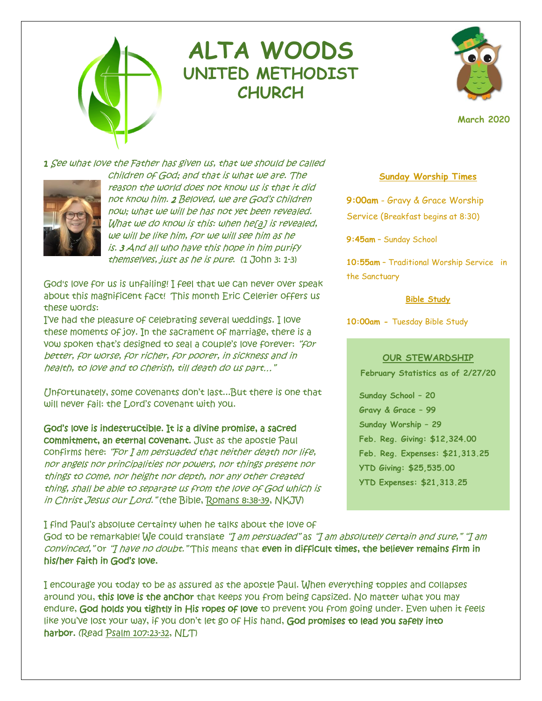

# **ALTA WOODS UNITED METHODIST CHURCH**



**March 2020**

1 See what love the Father has given us, that we should be called



children of God; and that is what we are. The reason the world does not know us is that it did not know him. 2 Beloved, we are God's children now; what we will be has not yet been revealed. What we do know is this: when he[\[a\]](https://www.biblegateway.com/passage/?search=1+John+3%3A+1-3&version=NRSV#fen-NRSV-30564a) is revealed, we will be like him, for we will see him as he is. 3 And all who have this hope in him purify themselves, just as he is pure. (1 John 3: 1-3)

God's love for us is unfailing! I feel that we can never over speak about this magnificent fact! This month Eric Celerier offers us these words:

I've had the pleasure of celebrating several weddings. I love these moments of joy. In the sacrament of marriage, there is a vow spoken that's designed to seal a couple's love forever: "for better, for worse, for richer, for poorer, in sickness and in health, to love and to cherish, till death do us part…"

Unfortunately, some covenants don't last...But there is one that will never fail: the Lord's covenant with you.

God's love is indestructible. It is a divine promise, a sacred commitment, an eternal covenant. Just as the apostle Paul confirms here: "For I am persuaded that neither death nor life, nor angels nor principalities nor powers, nor things present nor things to come, nor height nor depth, nor any other created thing, shall be able to separate us from the love of God which is in Christ Jesus our Lord." (the Bible, [Romans 8:38-39,](https://jesus.us14.list-manage.com/track/click?u=a694f95a02eb32704edc06d97&id=1d916680bb&e=1e698f60af) NKJV)

I find Paul's absolute certainty when he talks about the love of

# **Sunday Worship Times**

**9:00am** - Gravy & Grace Worship Service (Breakfast begins at 8:30)

**9:45am** – Sunday School

**10:55am** – Traditional Worship Service in the Sanctuary

**Bible Study**

**10:00am -** Tuesday Bible Study

## **OUR STEWARDSHIP**

**February Statistics as of 2/27/20**

**Sunday School – 20 Gravy & Grace – 99 Sunday Worship – 29 Feb. Reg. Giving: \$12,324.00 Feb. Reg. Expenses: \$21,313.25 YTD Giving: \$25,535.00 YTD Expenses: \$21,313.25**

God to be remarkable! We could translate "I am persuaded" as "I am absolutely certain and sure," "I am convinced," or "I have no doubt." This means that even in difficult times, the believer remains firm in his/her faith in God's love.

I encourage you today to be as assured as the apostle Paul. When everything topples and collapses around you, this love is the anchor that keeps you from being capsized. No matter what you may endure, God holds you tightly in His ropes of love to prevent you from going under. Even when it feels like you've lost your way, if you don't let go of His hand, God promises to lead you safely into harbor. (Read [Psalm 107:23-32,](https://jesus.us14.list-manage.com/track/click?u=a694f95a02eb32704edc06d97&id=f0bb5b182d&e=1e698f60af) NLT)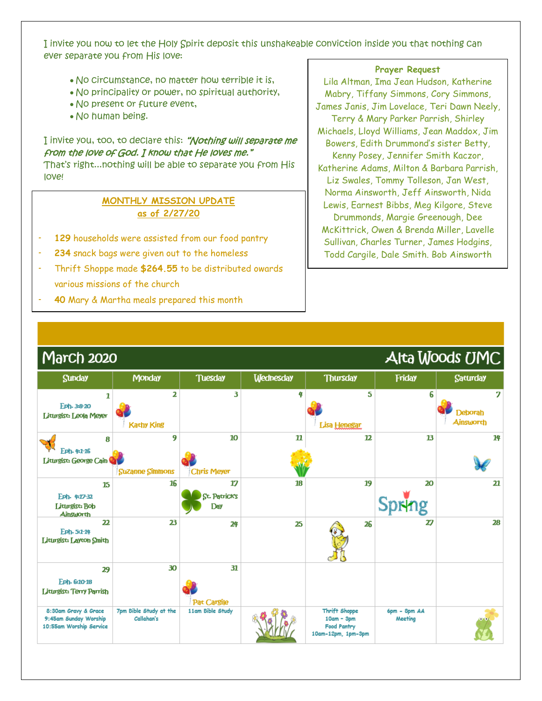I invite you now to let the Holy Spirit deposit this unshakeable conviction inside you that nothing can ever separate you from His love:

- No circumstance, no matter how terrible it is,
- No principality or power, no spiritual authority,
- No present or future event,
- No human being.

# I invite you, too, to declare this: "Nothing will separate me from the love of God. I know that He loves me."

That's right...nothing will be able to separate you from His love!

# **MONTHLY MISSION UPDATE as of 2/27/20**

- **129** households were assisted from our food pantry
- 234 snack bags were given out to the homeless
- Thrift Shoppe made \$264.55 to be distributed owards various missions of the church
- **40** Mary & Martha meals prepared this month

### **Prayer Request**

Lila Altman, Ima Jean Hudson, Katherine Mabry, Tiffany Simmons, Cory Simmons, James Janis, Jim Lovelace, Teri Dawn Neely, Terry & Mary Parker Parrish, Shirley Michaels, Lloyd Williams, Jean Maddox, Jim Bowers, Edith Drummond's sister Betty, Kenny Posey, Jennifer Smith Kaczor, Katherine Adams, Milton & Barbara Parrish, Liz Swales, Tommy Tolleson, Jan West, Norma Ainsworth, Jeff Ainsworth, Nida Lewis, Earnest Bibbs, Meg Kilgore, Steve Drummonds, Margie Greenough, Dee McKittrick, Owen & Brenda Miller, Lavelle Sullivan, Charles Turner, James Hodgins, Todd Cargile, Dale Smith. Bob Ainsworth

L

| <b>IYJarch 2020</b>                                                      | AITA WOODS UNIC                      |                                   |                  |                                                                           |                         |                                         |
|--------------------------------------------------------------------------|--------------------------------------|-----------------------------------|------------------|---------------------------------------------------------------------------|-------------------------|-----------------------------------------|
| <b>Sunday</b>                                                            | <b>Monday</b>                        | <b>Tuesday</b>                    | <b>Wednesday</b> | <b>Thursday</b>                                                           | Friday                  | <b>Saturday</b>                         |
| 1<br>Eph-3:8-20<br>Liturgist: Leola Meyer                                | 2<br><b>Kathy King</b>               | 3                                 | 4                | 5<br>Lisa Henegar                                                         | 6                       | 7<br><b>Deborah</b><br><b>Ainsworth</b> |
| 8<br>Fph. 4:1-16<br>Littingist: George Cain                              | 9<br><b>Suzanne Simmons</b>          | 10<br><b>Chris Meyer</b>          | $\mathbf n$      | 12                                                                        | 13                      | 14                                      |
| 15<br>Eph- 4:17-32<br>Liturgist: Bob<br><b>Ainsworth</b>                 | 16                                   | 17<br>St. Patrick's<br><b>Day</b> | 18               | 19                                                                        | 20<br>Spring            | 21                                      |
| 22<br>Eph-5:1-14<br>Liturgist: Layton Smith                              | 23                                   | 24                                | 25               | 26                                                                        | 27                      | 28                                      |
| 29                                                                       | 30                                   | 31                                |                  |                                                                           |                         |                                         |
| Eph- 6:10-18<br>Littingist: Terry Parrish                                |                                      | Pat Cargile                       |                  |                                                                           |                         |                                         |
| 8:30am Gravy & Grace<br>9:45am Sunday Worship<br>10:55am Worship Service | 7pm Bible Study at the<br>Callahan's | 11am Bible Study                  |                  | Thrift Shoppe<br>$10am - 3pm$<br><b>Food Pantry</b><br>10am-12pm, 1pm-Spm | 6pm - 8pm AA<br>Meeting |                                         |